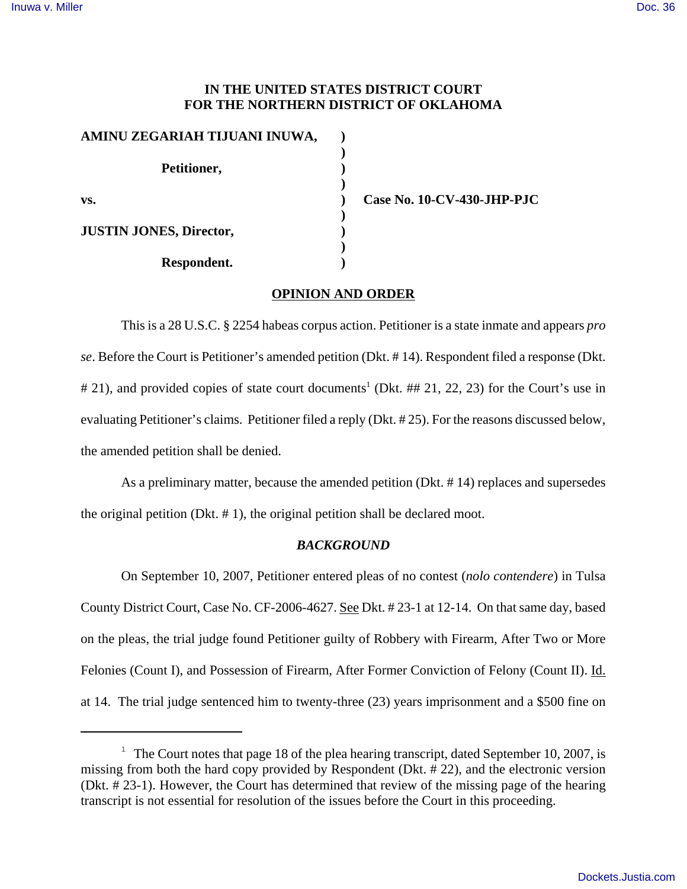# **IN THE UNITED STATES DISTRICT COURT FOR THE NORTHERN DISTRICT OF OKLAHOMA**

| AMINU ZEGARIAH TIJUANI INUWA,  |  |
|--------------------------------|--|
|                                |  |
| Petitioner,                    |  |
|                                |  |
| VS.                            |  |
|                                |  |
| <b>JUSTIN JONES, Director,</b> |  |
|                                |  |
| Respondent.                    |  |

**vs. ) Case No. 10-CV-430-JHP-PJC**

## **OPINION AND ORDER**

This is a 28 U.S.C. § 2254 habeas corpus action. Petitioner is a state inmate and appears *pro se*. Before the Court is Petitioner's amended petition (Dkt. # 14). Respondent filed a response (Dkt. # 21), and provided copies of state court documents<sup>1</sup> (Dkt. ## 21, 22, 23) for the Court's use in evaluating Petitioner's claims. Petitioner filed a reply (Dkt. # 25). For the reasons discussed below, the amended petition shall be denied.

As a preliminary matter, because the amended petition (Dkt. # 14) replaces and supersedes the original petition (Dkt. # 1), the original petition shall be declared moot.

# *BACKGROUND*

On September 10, 2007, Petitioner entered pleas of no contest (*nolo contendere*) in Tulsa County District Court, Case No. CF-2006-4627. See Dkt. # 23-1 at 12-14. On that same day, based on the pleas, the trial judge found Petitioner guilty of Robbery with Firearm, After Two or More Felonies (Count I), and Possession of Firearm, After Former Conviction of Felony (Count II). Id. at 14. The trial judge sentenced him to twenty-three (23) years imprisonment and a \$500 fine on

<sup>&</sup>lt;sup>1</sup> The Court notes that page 18 of the plea hearing transcript, dated September 10, 2007, is missing from both the hard copy provided by Respondent (Dkt. # 22), and the electronic version (Dkt. # 23-1). However, the Court has determined that review of the missing page of the hearing transcript is not essential for resolution of the issues before the Court in this proceeding.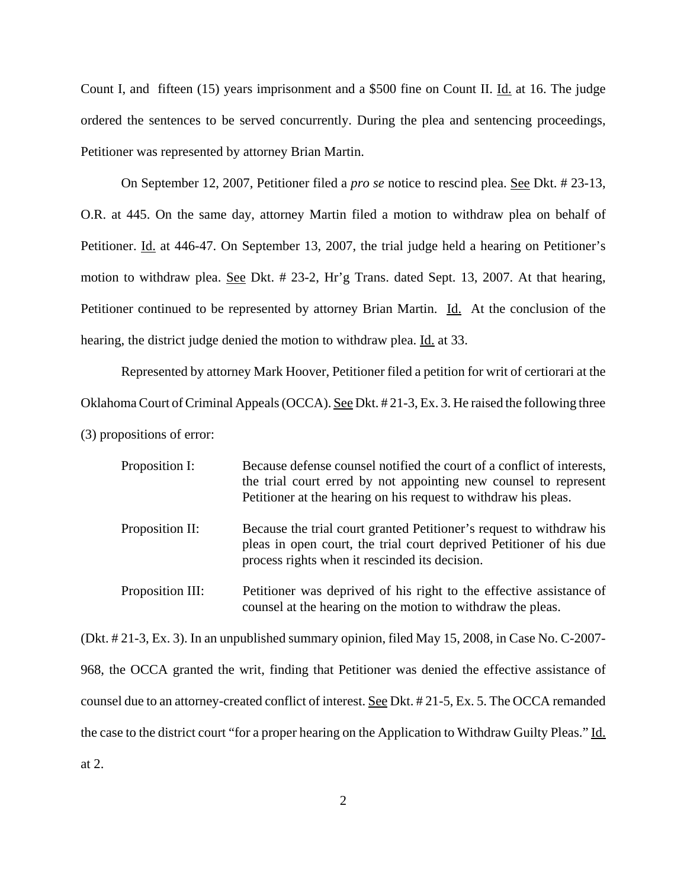Count I, and fifteen (15) years imprisonment and a \$500 fine on Count II. Id. at 16. The judge ordered the sentences to be served concurrently. During the plea and sentencing proceedings, Petitioner was represented by attorney Brian Martin.

On September 12, 2007, Petitioner filed a *pro se* notice to rescind plea. See Dkt. # 23-13, O.R. at 445. On the same day, attorney Martin filed a motion to withdraw plea on behalf of Petitioner. Id. at 446-47. On September 13, 2007, the trial judge held a hearing on Petitioner's motion to withdraw plea. See Dkt. # 23-2, Hr'g Trans. dated Sept. 13, 2007. At that hearing, Petitioner continued to be represented by attorney Brian Martin. Id. At the conclusion of the hearing, the district judge denied the motion to withdraw plea. Id. at 33.

Represented by attorney Mark Hoover, Petitioner filed a petition for writ of certiorari at the Oklahoma Court of Criminal Appeals (OCCA). See Dkt. # 21-3, Ex. 3. He raised the following three (3) propositions of error:

| Proposition I:   | Because defense counsel notified the court of a conflict of interests,<br>the trial court erred by not appointing new counsel to represent<br>Petitioner at the hearing on his request to withdraw his pleas. |
|------------------|---------------------------------------------------------------------------------------------------------------------------------------------------------------------------------------------------------------|
| Proposition II:  | Because the trial court granted Petitioner's request to withdraw his<br>pleas in open court, the trial court deprived Petitioner of his due<br>process rights when it rescinded its decision.                 |
| Proposition III: | Petitioner was deprived of his right to the effective assistance of<br>counsel at the hearing on the motion to withdraw the pleas.                                                                            |

(Dkt. # 21-3, Ex. 3). In an unpublished summary opinion, filed May 15, 2008, in Case No. C-2007- 968, the OCCA granted the writ, finding that Petitioner was denied the effective assistance of counsel due to an attorney-created conflict of interest. See Dkt. # 21-5, Ex. 5. The OCCA remanded the case to the district court "for a proper hearing on the Application to Withdraw Guilty Pleas." Id. at 2.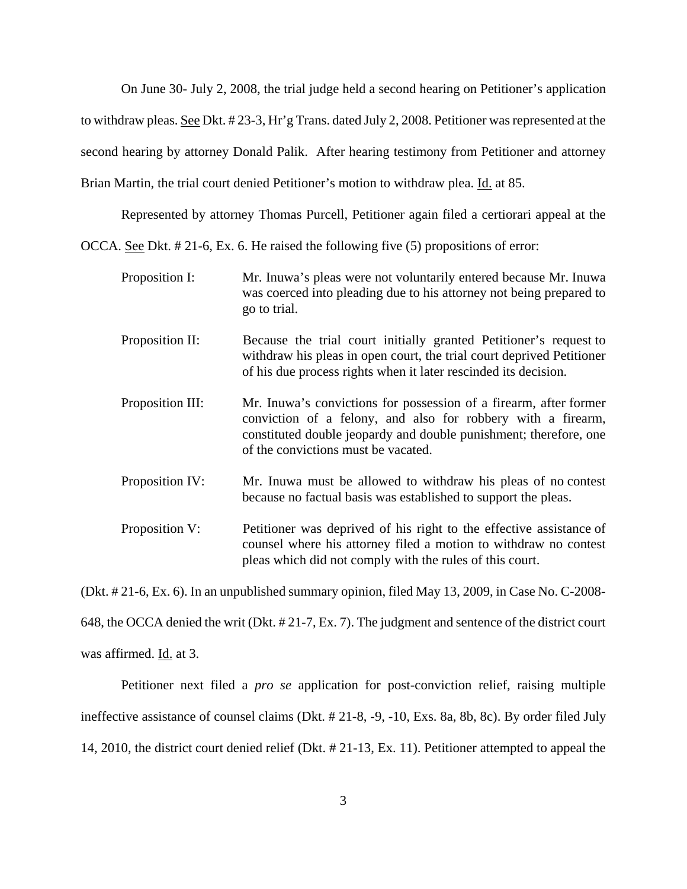On June 30- July 2, 2008, the trial judge held a second hearing on Petitioner's application to withdraw pleas. See Dkt. # 23-3, Hr'g Trans. dated July 2, 2008. Petitioner was represented at the second hearing by attorney Donald Palik. After hearing testimony from Petitioner and attorney Brian Martin, the trial court denied Petitioner's motion to withdraw plea. <u>Id.</u> at 85.

Represented by attorney Thomas Purcell, Petitioner again filed a certiorari appeal at the

OCCA. See Dkt. # 21-6, Ex. 6. He raised the following five (5) propositions of error:

Proposition I: Mr. Inuwa's pleas were not voluntarily entered because Mr. Inuwa was coerced into pleading due to his attorney not being prepared to go to trial. Proposition II: Because the trial court initially granted Petitioner's request to withdraw his pleas in open court, the trial court deprived Petitioner of his due process rights when it later rescinded its decision. Proposition III: Mr. Inuwa's convictions for possession of a firearm, after former conviction of a felony, and also for robbery with a firearm, constituted double jeopardy and double punishment; therefore, one of the convictions must be vacated. Proposition IV: Mr. Inuwa must be allowed to withdraw his pleas of no contest because no factual basis was established to support the pleas. Proposition V: Petitioner was deprived of his right to the effective assistance of

counsel where his attorney filed a motion to withdraw no contest

pleas which did not comply with the rules of this court.

(Dkt. # 21-6, Ex. 6). In an unpublished summary opinion, filed May 13, 2009, in Case No. C-2008- 648, the OCCA denied the writ (Dkt. # 21-7, Ex. 7). The judgment and sentence of the district court was affirmed. Id. at 3.

Petitioner next filed a *pro se* application for post-conviction relief, raising multiple ineffective assistance of counsel claims (Dkt. # 21-8, -9, -10, Exs. 8a, 8b, 8c). By order filed July 14, 2010, the district court denied relief (Dkt. # 21-13, Ex. 11). Petitioner attempted to appeal the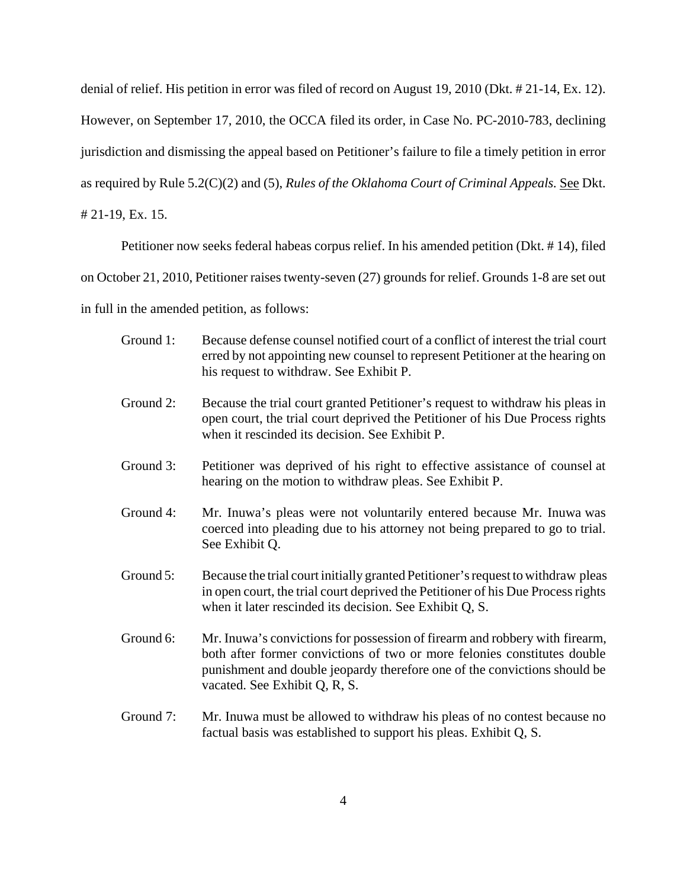denial of relief. His petition in error was filed of record on August 19, 2010 (Dkt. # 21-14, Ex. 12). However, on September 17, 2010, the OCCA filed its order, in Case No. PC-2010-783, declining jurisdiction and dismissing the appeal based on Petitioner's failure to file a timely petition in error as required by Rule 5.2(C)(2) and (5), *Rules of the Oklahoma Court of Criminal Appeals.* See Dkt. # 21-19, Ex. 15.

Petitioner now seeks federal habeas corpus relief. In his amended petition (Dkt. # 14), filed

on October 21, 2010, Petitioner raises twenty-seven (27) grounds for relief. Grounds 1-8 are set out

in full in the amended petition, as follows:

- Ground 1: Because defense counsel notified court of a conflict of interest the trial court erred by not appointing new counsel to represent Petitioner at the hearing on his request to withdraw. See Exhibit P.
- Ground 2: Because the trial court granted Petitioner's request to withdraw his pleas in open court, the trial court deprived the Petitioner of his Due Process rights when it rescinded its decision. See Exhibit P.
- Ground 3: Petitioner was deprived of his right to effective assistance of counsel at hearing on the motion to withdraw pleas. See Exhibit P.
- Ground 4: Mr. Inuwa's pleas were not voluntarily entered because Mr. Inuwa was coerced into pleading due to his attorney not being prepared to go to trial. See Exhibit Q.
- Ground 5: Because the trial court initially granted Petitioner's request to withdraw pleas in open court, the trial court deprived the Petitioner of his Due Process rights when it later rescinded its decision. See Exhibit Q, S.
- Ground 6: Mr. Inuwa's convictions for possession of firearm and robbery with firearm, both after former convictions of two or more felonies constitutes double punishment and double jeopardy therefore one of the convictions should be vacated. See Exhibit Q, R, S.
- Ground 7: Mr. Inuwa must be allowed to withdraw his pleas of no contest because no factual basis was established to support his pleas. Exhibit Q, S.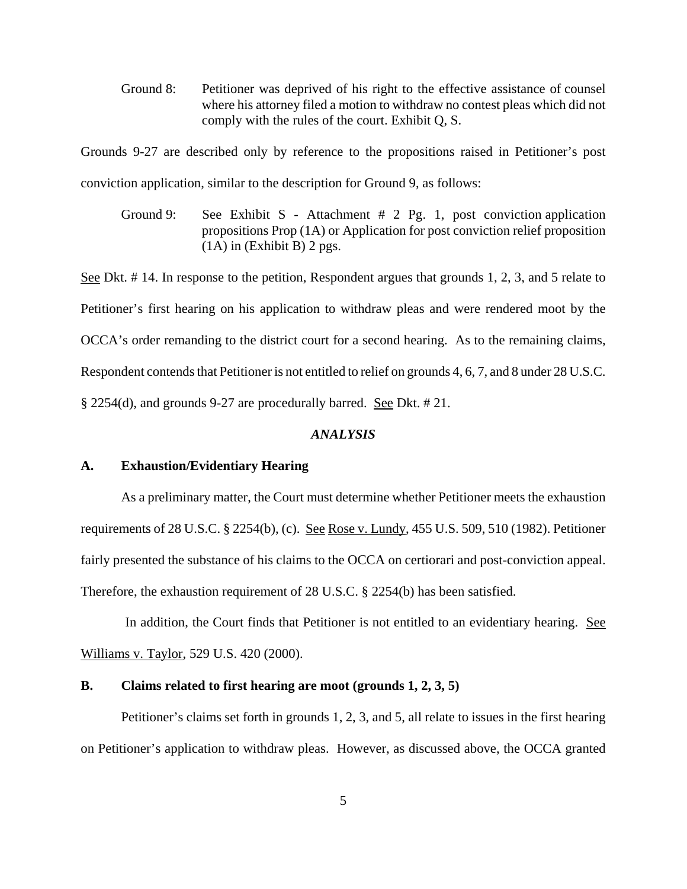Ground 8: Petitioner was deprived of his right to the effective assistance of counsel where his attorney filed a motion to withdraw no contest pleas which did not comply with the rules of the court. Exhibit Q, S.

Grounds 9-27 are described only by reference to the propositions raised in Petitioner's post conviction application, similar to the description for Ground 9, as follows:

Ground 9: See Exhibit S - Attachment # 2 Pg. 1, post conviction application propositions Prop (1A) or Application for post conviction relief proposition (1A) in (Exhibit B) 2 pgs.

See Dkt. #14. In response to the petition, Respondent argues that grounds 1, 2, 3, and 5 relate to Petitioner's first hearing on his application to withdraw pleas and were rendered moot by the OCCA's order remanding to the district court for a second hearing. As to the remaining claims, Respondent contends that Petitioner is not entitled to relief on grounds 4, 6, 7, and 8 under 28 U.S.C. § 2254(d), and grounds 9-27 are procedurally barred. See Dkt. # 21.

# *ANALYSIS*

## **A. Exhaustion/Evidentiary Hearing**

As a preliminary matter, the Court must determine whether Petitioner meets the exhaustion requirements of 28 U.S.C. § 2254(b), (c). See Rose v. Lundy, 455 U.S. 509, 510 (1982). Petitioner fairly presented the substance of his claims to the OCCA on certiorari and post-conviction appeal. Therefore, the exhaustion requirement of 28 U.S.C. § 2254(b) has been satisfied.

In addition, the Court finds that Petitioner is not entitled to an evidentiary hearing. See Williams v. Taylor, 529 U.S. 420 (2000).

# **B. Claims related to first hearing are moot (grounds 1, 2, 3, 5)**

Petitioner's claims set forth in grounds 1, 2, 3, and 5, all relate to issues in the first hearing on Petitioner's application to withdraw pleas. However, as discussed above, the OCCA granted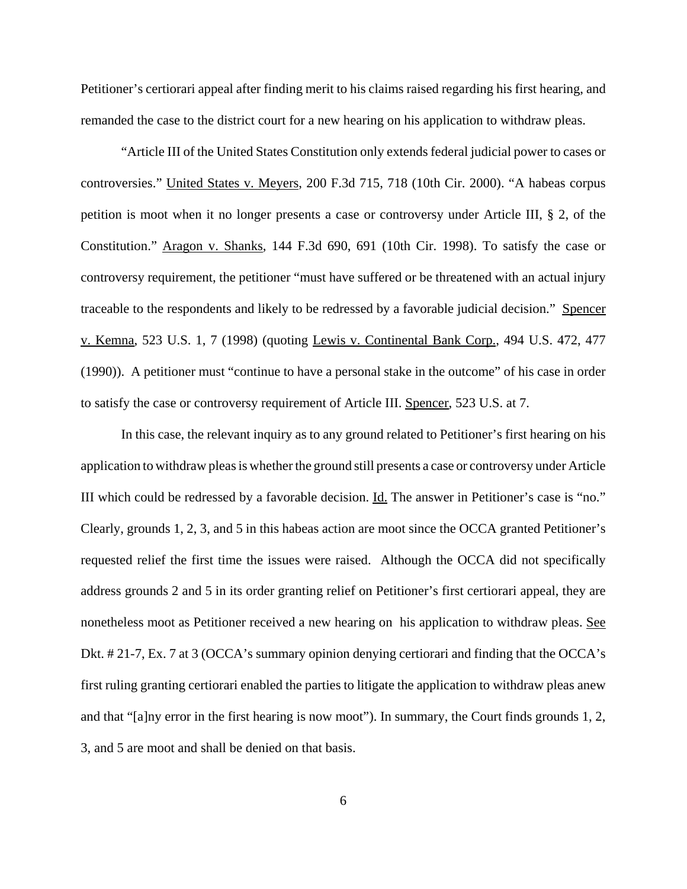Petitioner's certiorari appeal after finding merit to his claims raised regarding his first hearing, and remanded the case to the district court for a new hearing on his application to withdraw pleas.

"Article III of the United States Constitution only extends federal judicial power to cases or controversies." United States v. Meyers, 200 F.3d 715, 718 (10th Cir. 2000). "A habeas corpus petition is moot when it no longer presents a case or controversy under Article III, § 2, of the Constitution." Aragon v. Shanks, 144 F.3d 690, 691 (10th Cir. 1998). To satisfy the case or controversy requirement, the petitioner "must have suffered or be threatened with an actual injury traceable to the respondents and likely to be redressed by a favorable judicial decision." Spencer v. Kemna, 523 U.S. 1, 7 (1998) (quoting Lewis v. Continental Bank Corp., 494 U.S. 472, 477 (1990)). A petitioner must "continue to have a personal stake in the outcome" of his case in order to satisfy the case or controversy requirement of Article III. Spencer, 523 U.S. at 7.

In this case, the relevant inquiry as to any ground related to Petitioner's first hearing on his application to withdraw pleas is whether the ground still presents a case or controversy under Article III which could be redressed by a favorable decision. Id. The answer in Petitioner's case is "no." Clearly, grounds 1, 2, 3, and 5 in this habeas action are moot since the OCCA granted Petitioner's requested relief the first time the issues were raised. Although the OCCA did not specifically address grounds 2 and 5 in its order granting relief on Petitioner's first certiorari appeal, they are nonetheless moot as Petitioner received a new hearing on his application to withdraw pleas. See Dkt. # 21-7, Ex. 7 at 3 (OCCA's summary opinion denying certiorari and finding that the OCCA's first ruling granting certiorari enabled the parties to litigate the application to withdraw pleas anew and that "[a]ny error in the first hearing is now moot"). In summary, the Court finds grounds 1, 2, 3, and 5 are moot and shall be denied on that basis.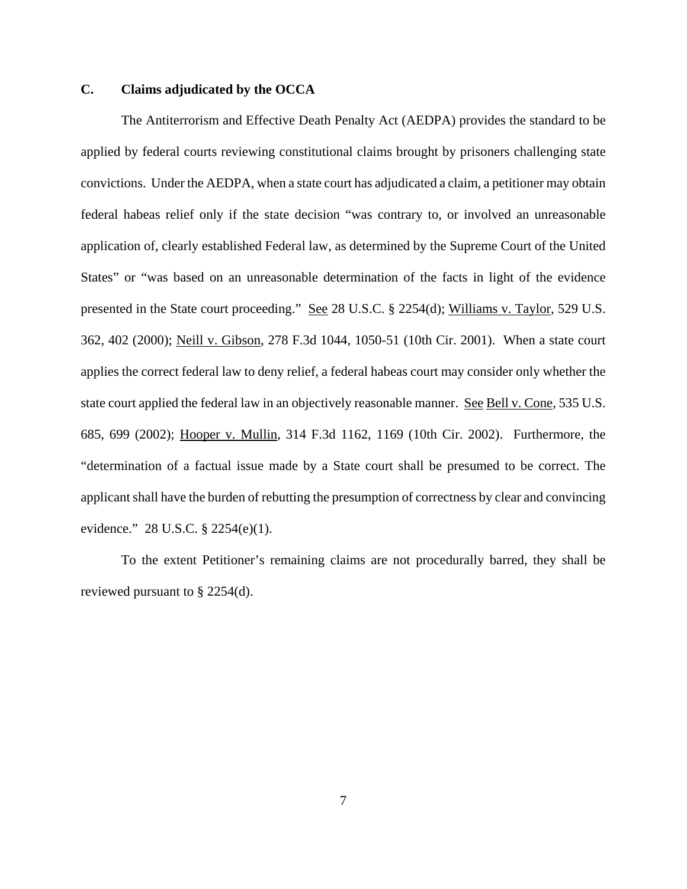# **C. Claims adjudicated by the OCCA**

The Antiterrorism and Effective Death Penalty Act (AEDPA) provides the standard to be applied by federal courts reviewing constitutional claims brought by prisoners challenging state convictions. Under the AEDPA, when a state court has adjudicated a claim, a petitioner may obtain federal habeas relief only if the state decision "was contrary to, or involved an unreasonable application of, clearly established Federal law, as determined by the Supreme Court of the United States" or "was based on an unreasonable determination of the facts in light of the evidence presented in the State court proceeding." See 28 U.S.C. § 2254(d); Williams v. Taylor, 529 U.S. 362, 402 (2000); Neill v. Gibson, 278 F.3d 1044, 1050-51 (10th Cir. 2001). When a state court applies the correct federal law to deny relief, a federal habeas court may consider only whether the state court applied the federal law in an objectively reasonable manner. See Bell v. Cone, 535 U.S. 685, 699 (2002); Hooper v. Mullin, 314 F.3d 1162, 1169 (10th Cir. 2002). Furthermore, the "determination of a factual issue made by a State court shall be presumed to be correct. The applicant shall have the burden of rebutting the presumption of correctness by clear and convincing evidence." 28 U.S.C. § 2254(e)(1).

To the extent Petitioner's remaining claims are not procedurally barred, they shall be reviewed pursuant to § 2254(d).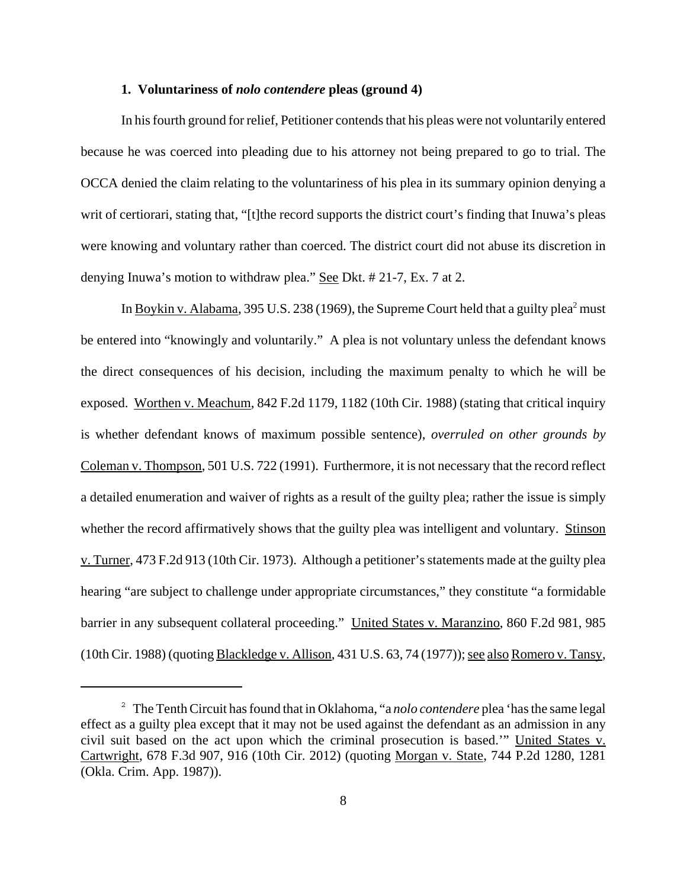# **1. Voluntariness of** *nolo contendere* **pleas (ground 4)**

In his fourth ground for relief, Petitioner contends that his pleas were not voluntarily entered because he was coerced into pleading due to his attorney not being prepared to go to trial. The OCCA denied the claim relating to the voluntariness of his plea in its summary opinion denying a writ of certiorari, stating that, "[t]the record supports the district court's finding that Inuwa's pleas were knowing and voluntary rather than coerced. The district court did not abuse its discretion in denying Inuwa's motion to withdraw plea." See Dkt. # 21-7, Ex. 7 at 2.

In Boykin v. Alabama, 395 U.S. 238 (1969), the Supreme Court held that a guilty plea<sup>2</sup> must be entered into "knowingly and voluntarily." A plea is not voluntary unless the defendant knows the direct consequences of his decision, including the maximum penalty to which he will be exposed. Worthen v. Meachum, 842 F.2d 1179, 1182 (10th Cir. 1988) (stating that critical inquiry is whether defendant knows of maximum possible sentence), *overruled on other grounds by* Coleman v. Thompson, 501 U.S. 722 (1991). Furthermore, it is not necessary that the record reflect a detailed enumeration and waiver of rights as a result of the guilty plea; rather the issue is simply whether the record affirmatively shows that the guilty plea was intelligent and voluntary. Stinson v. Turner, 473 F.2d 913 (10th Cir. 1973). Although a petitioner's statements made at the guilty plea hearing "are subject to challenge under appropriate circumstances," they constitute "a formidable barrier in any subsequent collateral proceeding." United States v. Maranzino, 860 F.2d 981, 985 (10th Cir. 1988) (quoting Blackledge v. Allison, 431 U.S. 63, 74 (1977)); see also Romero v. Tansy,

<sup>2</sup> The Tenth Circuit has found that in Oklahoma, "a *nolo contendere* plea 'has the same legal effect as a guilty plea except that it may not be used against the defendant as an admission in any civil suit based on the act upon which the criminal prosecution is based.'" United States v. Cartwright, 678 F.3d 907, 916 (10th Cir. 2012) (quoting Morgan v. State, 744 P.2d 1280, 1281 (Okla. Crim. App. 1987)).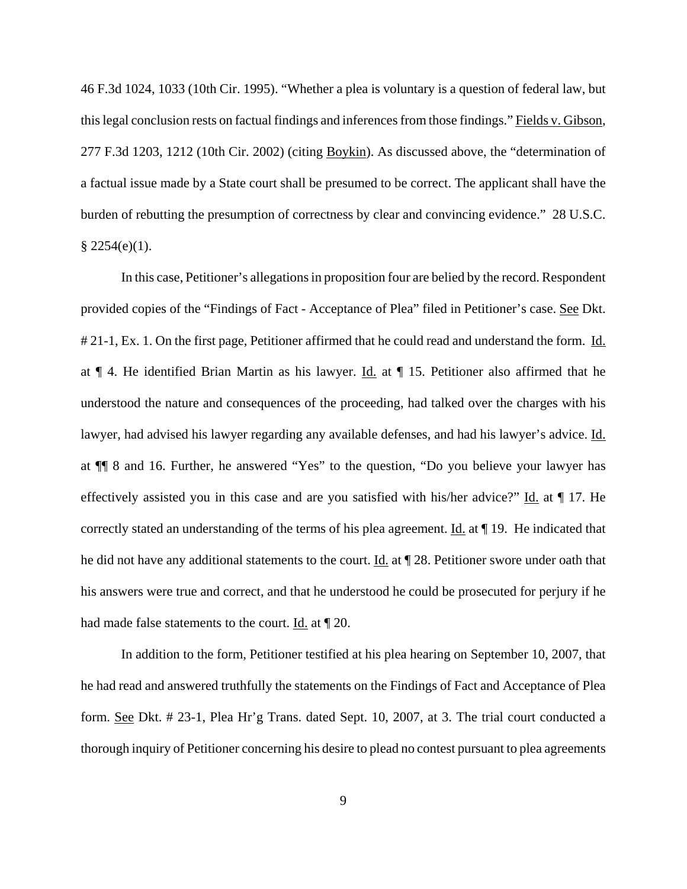46 F.3d 1024, 1033 (10th Cir. 1995). "Whether a plea is voluntary is a question of federal law, but this legal conclusion rests on factual findings and inferences from those findings." Fields v. Gibson, 277 F.3d 1203, 1212 (10th Cir. 2002) (citing Boykin). As discussed above, the "determination of a factual issue made by a State court shall be presumed to be correct. The applicant shall have the burden of rebutting the presumption of correctness by clear and convincing evidence." 28 U.S.C.  $$2254(e)(1).$ 

In this case, Petitioner's allegations in proposition four are belied by the record. Respondent provided copies of the "Findings of Fact - Acceptance of Plea" filed in Petitioner's case. See Dkt. # 21-1, Ex. 1. On the first page, Petitioner affirmed that he could read and understand the form. Id. at  $\P$  4. He identified Brian Martin as his lawyer. Id. at  $\P$  15. Petitioner also affirmed that he understood the nature and consequences of the proceeding, had talked over the charges with his lawyer, had advised his lawyer regarding any available defenses, and had his lawyer's advice. Id. at ¶¶ 8 and 16. Further, he answered "Yes" to the question, "Do you believe your lawyer has effectively assisted you in this case and are you satisfied with his/her advice?" Id. at ¶ 17. He correctly stated an understanding of the terms of his plea agreement. Id. at ¶ 19. He indicated that he did not have any additional statements to the court. Id. at  $\parallel$  28. Petitioner swore under oath that his answers were true and correct, and that he understood he could be prosecuted for perjury if he had made false statements to the court. <u>Id.</u> at  $\P$  20.

In addition to the form, Petitioner testified at his plea hearing on September 10, 2007, that he had read and answered truthfully the statements on the Findings of Fact and Acceptance of Plea form. See Dkt. # 23-1, Plea Hr'g Trans. dated Sept. 10, 2007, at 3. The trial court conducted a thorough inquiry of Petitioner concerning his desire to plead no contest pursuant to plea agreements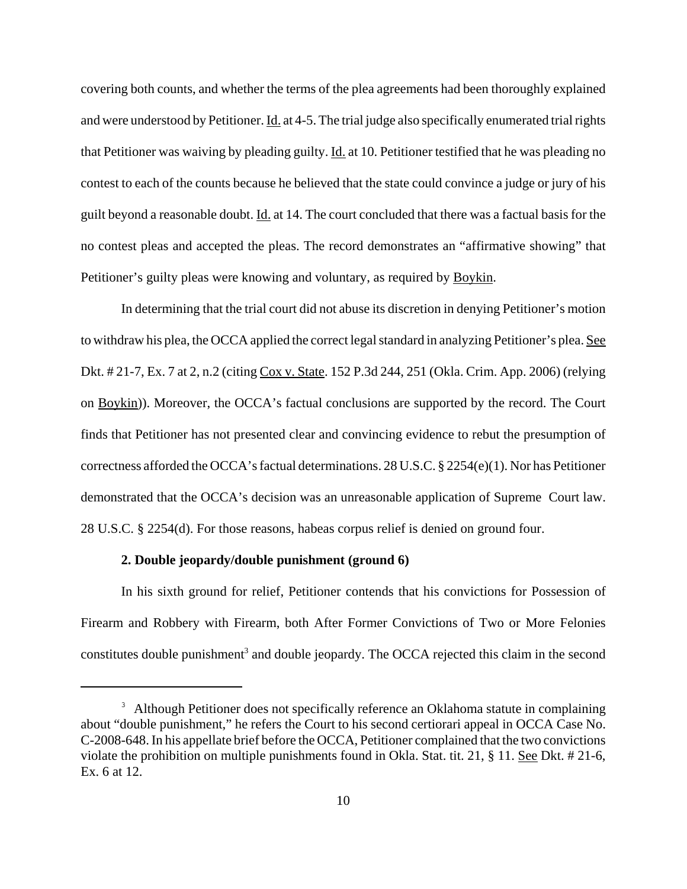covering both counts, and whether the terms of the plea agreements had been thoroughly explained and were understood by Petitioner. Id. at 4-5. The trial judge also specifically enumerated trial rights that Petitioner was waiving by pleading guilty. Id. at 10. Petitioner testified that he was pleading no contest to each of the counts because he believed that the state could convince a judge or jury of his guilt beyond a reasonable doubt. Id. at 14. The court concluded that there was a factual basis for the no contest pleas and accepted the pleas. The record demonstrates an "affirmative showing" that Petitioner's guilty pleas were knowing and voluntary, as required by **Boykin**.

In determining that the trial court did not abuse its discretion in denying Petitioner's motion to withdraw his plea, the OCCA applied the correct legal standard in analyzing Petitioner's plea. See Dkt. # 21-7, Ex. 7 at 2, n.2 (citing Cox v. State. 152 P.3d 244, 251 (Okla. Crim. App. 2006) (relying on Boykin)). Moreover, the OCCA's factual conclusions are supported by the record. The Court finds that Petitioner has not presented clear and convincing evidence to rebut the presumption of correctness afforded the OCCA's factual determinations. 28 U.S.C. § 2254(e)(1). Nor has Petitioner demonstrated that the OCCA's decision was an unreasonable application of Supreme Court law. 28 U.S.C. § 2254(d). For those reasons, habeas corpus relief is denied on ground four.

#### **2. Double jeopardy/double punishment (ground 6)**

In his sixth ground for relief, Petitioner contends that his convictions for Possession of Firearm and Robbery with Firearm, both After Former Convictions of Two or More Felonies constitutes double punishment<sup>3</sup> and double jeopardy. The OCCA rejected this claim in the second

<sup>&</sup>lt;sup>3</sup> Although Petitioner does not specifically reference an Oklahoma statute in complaining about "double punishment," he refers the Court to his second certiorari appeal in OCCA Case No. C-2008-648. In his appellate brief before the OCCA, Petitioner complained that the two convictions violate the prohibition on multiple punishments found in Okla. Stat. tit. 21, § 11. See Dkt. # 21-6, Ex. 6 at 12.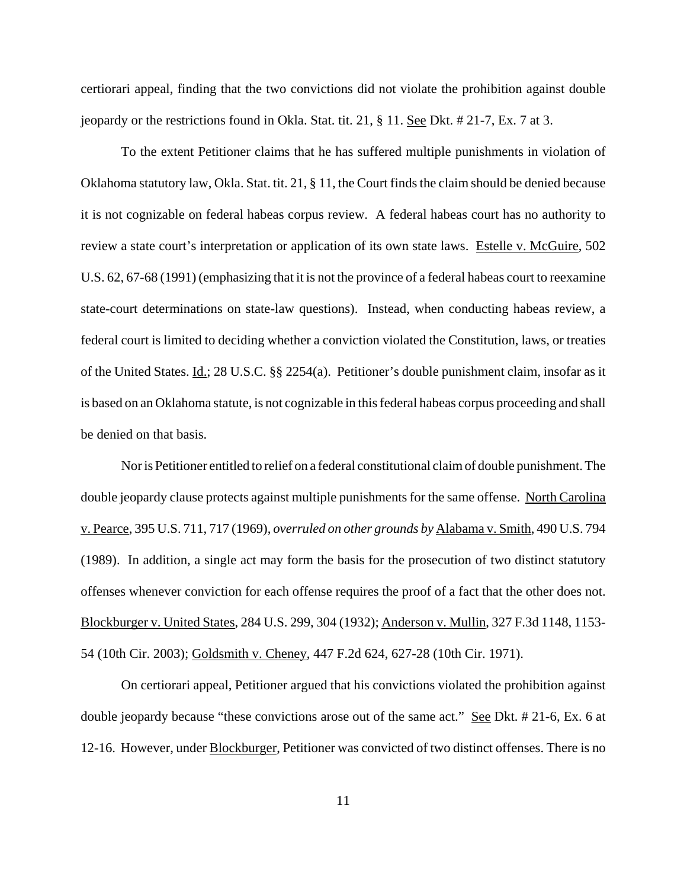certiorari appeal, finding that the two convictions did not violate the prohibition against double jeopardy or the restrictions found in Okla. Stat. tit. 21, § 11. See Dkt. # 21-7, Ex. 7 at 3.

To the extent Petitioner claims that he has suffered multiple punishments in violation of Oklahoma statutory law, Okla. Stat. tit. 21, § 11, the Court finds the claim should be denied because it is not cognizable on federal habeas corpus review. A federal habeas court has no authority to review a state court's interpretation or application of its own state laws. Estelle v. McGuire, 502 U.S. 62, 67-68 (1991) (emphasizing that it is not the province of a federal habeas court to reexamine state-court determinations on state-law questions). Instead, when conducting habeas review, a federal court is limited to deciding whether a conviction violated the Constitution, laws, or treaties of the United States. Id.; 28 U.S.C. §§ 2254(a). Petitioner's double punishment claim, insofar as it is based on an Oklahoma statute, is not cognizable in this federal habeas corpus proceeding and shall be denied on that basis.

Nor is Petitioner entitled to relief on a federal constitutional claim of double punishment. The double jeopardy clause protects against multiple punishments for the same offense. North Carolina v. Pearce, 395 U.S. 711, 717 (1969), *overruled on other grounds by* Alabama v. Smith, 490 U.S. 794 (1989). In addition, a single act may form the basis for the prosecution of two distinct statutory offenses whenever conviction for each offense requires the proof of a fact that the other does not. Blockburger v. United States, 284 U.S. 299, 304 (1932); Anderson v. Mullin, 327 F.3d 1148, 1153- 54 (10th Cir. 2003); Goldsmith v. Cheney, 447 F.2d 624, 627-28 (10th Cir. 1971).

On certiorari appeal, Petitioner argued that his convictions violated the prohibition against double jeopardy because "these convictions arose out of the same act." See Dkt. # 21-6, Ex. 6 at 12-16. However, under Blockburger, Petitioner was convicted of two distinct offenses. There is no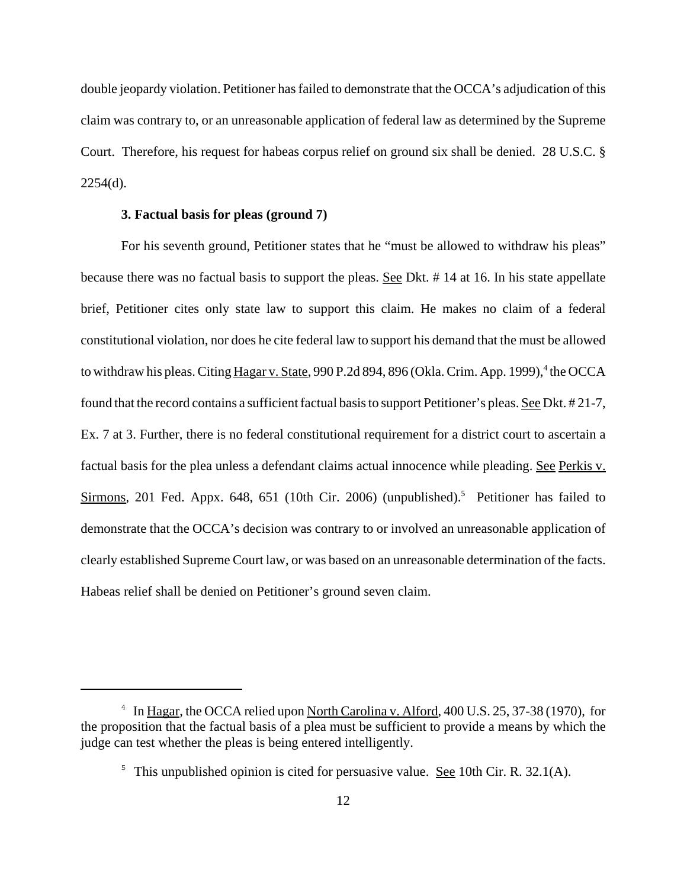double jeopardy violation. Petitioner has failed to demonstrate that the OCCA's adjudication of this claim was contrary to, or an unreasonable application of federal law as determined by the Supreme Court. Therefore, his request for habeas corpus relief on ground six shall be denied. 28 U.S.C. §  $2254(d)$ .

# **3. Factual basis for pleas (ground 7)**

For his seventh ground, Petitioner states that he "must be allowed to withdraw his pleas" because there was no factual basis to support the pleas. See Dkt. #14 at 16. In his state appellate brief, Petitioner cites only state law to support this claim. He makes no claim of a federal constitutional violation, nor does he cite federal law to support his demand that the must be allowed to withdraw his pleas. Citing Hagar v. State, 990 P.2d 894, 896 (Okla. Crim. App. 1999),<sup>4</sup> the OCCA found that the record contains a sufficient factual basis to support Petitioner's pleas. See Dkt. # 21-7, Ex. 7 at 3. Further, there is no federal constitutional requirement for a district court to ascertain a factual basis for the plea unless a defendant claims actual innocence while pleading. See Perkis v. Sirmons, 201 Fed. Appx. 648, 651 (10th Cir. 2006) (unpublished).<sup>5</sup> Petitioner has failed to demonstrate that the OCCA's decision was contrary to or involved an unreasonable application of clearly established Supreme Court law, or was based on an unreasonable determination of the facts. Habeas relief shall be denied on Petitioner's ground seven claim.

<sup>&</sup>lt;sup>4</sup> In Hagar, the OCCA relied upon North Carolina v. Alford, 400 U.S. 25, 37-38 (1970), for the proposition that the factual basis of a plea must be sufficient to provide a means by which the judge can test whether the pleas is being entered intelligently.

<sup>&</sup>lt;sup>5</sup> This unpublished opinion is cited for persuasive value. See 10th Cir. R.  $32.1(A)$ .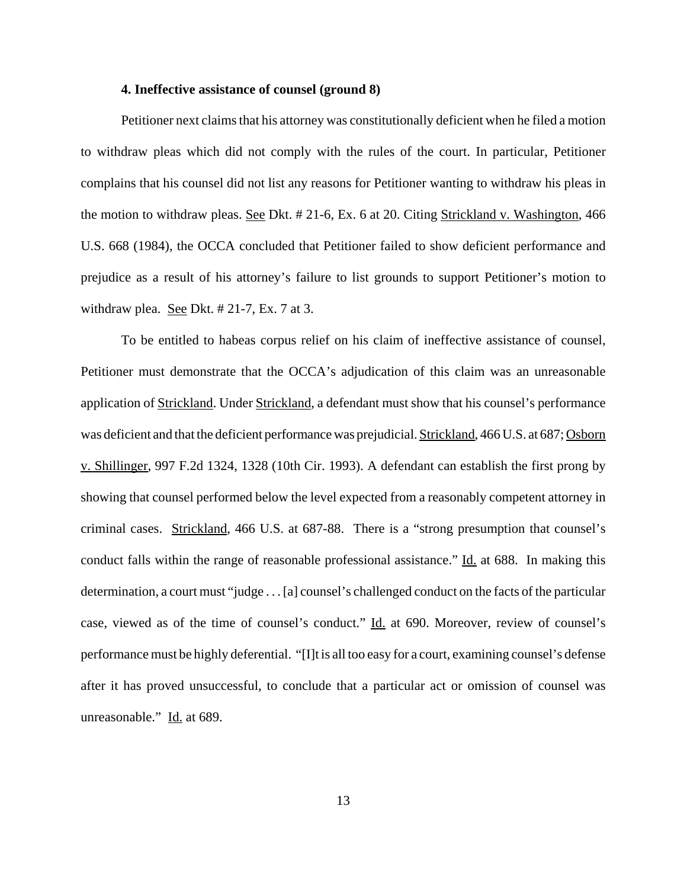## **4. Ineffective assistance of counsel (ground 8)**

Petitioner next claims that his attorney was constitutionally deficient when he filed a motion to withdraw pleas which did not comply with the rules of the court. In particular, Petitioner complains that his counsel did not list any reasons for Petitioner wanting to withdraw his pleas in the motion to withdraw pleas. See Dkt. # 21-6, Ex. 6 at 20. Citing Strickland v. Washington, 466 U.S. 668 (1984), the OCCA concluded that Petitioner failed to show deficient performance and prejudice as a result of his attorney's failure to list grounds to support Petitioner's motion to withdraw plea. <u>See</u> Dkt.  $\#$  21-7, Ex. 7 at 3.

To be entitled to habeas corpus relief on his claim of ineffective assistance of counsel, Petitioner must demonstrate that the OCCA's adjudication of this claim was an unreasonable application of Strickland. Under Strickland, a defendant must show that his counsel's performance was deficient and that the deficient performance was prejudicial. Strickland, 466 U.S. at 687; Osborn v. Shillinger, 997 F.2d 1324, 1328 (10th Cir. 1993). A defendant can establish the first prong by showing that counsel performed below the level expected from a reasonably competent attorney in criminal cases. Strickland, 466 U.S. at 687-88. There is a "strong presumption that counsel's conduct falls within the range of reasonable professional assistance." Id. at 688. In making this determination, a court must "judge . . . [a] counsel's challenged conduct on the facts of the particular case, viewed as of the time of counsel's conduct." Id. at 690. Moreover, review of counsel's performance must be highly deferential. "[I]t is all too easy for a court, examining counsel's defense after it has proved unsuccessful, to conclude that a particular act or omission of counsel was unreasonable." Id. at 689.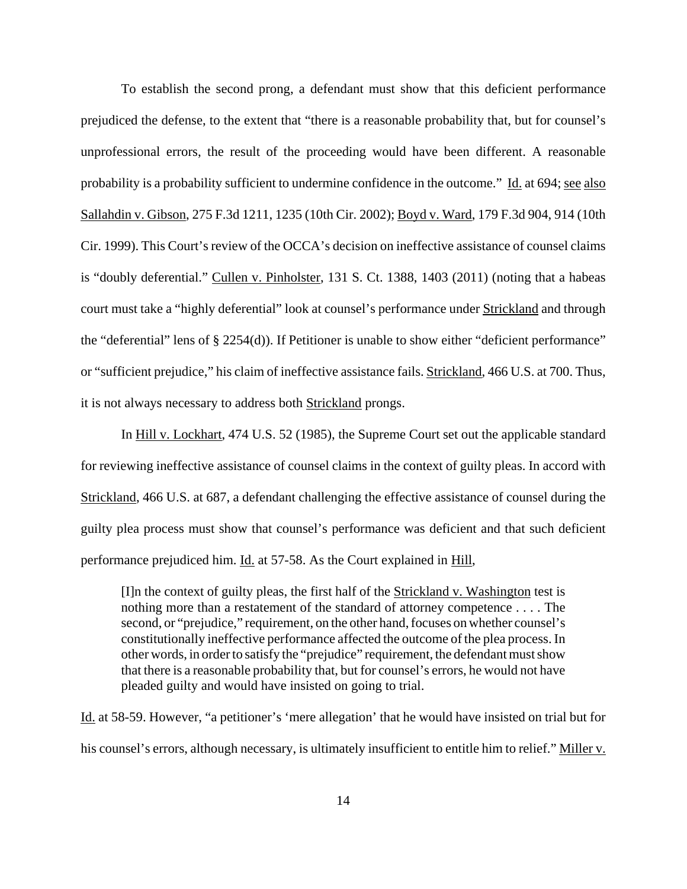To establish the second prong, a defendant must show that this deficient performance prejudiced the defense, to the extent that "there is a reasonable probability that, but for counsel's unprofessional errors, the result of the proceeding would have been different. A reasonable probability is a probability sufficient to undermine confidence in the outcome." Id. at 694; see also Sallahdin v. Gibson, 275 F.3d 1211, 1235 (10th Cir. 2002); Boyd v. Ward, 179 F.3d 904, 914 (10th Cir. 1999). This Court's review of the OCCA's decision on ineffective assistance of counsel claims is "doubly deferential." Cullen v. Pinholster, 131 S. Ct. 1388, 1403 (2011) (noting that a habeas court must take a "highly deferential" look at counsel's performance under Strickland and through the "deferential" lens of § 2254(d)). If Petitioner is unable to show either "deficient performance" or "sufficient prejudice," his claim of ineffective assistance fails. Strickland, 466 U.S. at 700. Thus, it is not always necessary to address both Strickland prongs.

In Hill v. Lockhart, 474 U.S. 52 (1985), the Supreme Court set out the applicable standard for reviewing ineffective assistance of counsel claims in the context of guilty pleas. In accord with Strickland, 466 U.S. at 687, a defendant challenging the effective assistance of counsel during the guilty plea process must show that counsel's performance was deficient and that such deficient performance prejudiced him. Id. at 57-58. As the Court explained in Hill,

[I]n the context of guilty pleas, the first half of the **Strickland v. Washington test is** nothing more than a restatement of the standard of attorney competence . . . . The second, or "prejudice," requirement, on the other hand, focuses on whether counsel's constitutionally ineffective performance affected the outcome of the plea process. In other words, in order to satisfy the "prejudice" requirement, the defendant must show that there is a reasonable probability that, but for counsel's errors, he would not have pleaded guilty and would have insisted on going to trial.

Id. at 58-59. However, "a petitioner's 'mere allegation' that he would have insisted on trial but for his counsel's errors, although necessary, is ultimately insufficient to entitle him to relief." Miller v.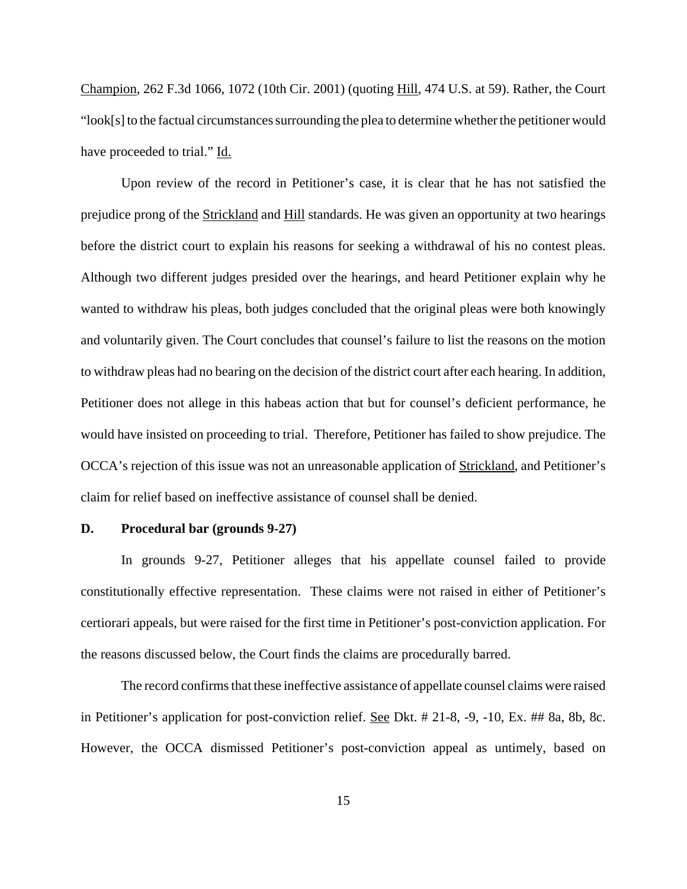Champion, 262 F.3d 1066, 1072 (10th Cir. 2001) (quoting Hill, 474 U.S. at 59). Rather, the Court "look[s] to the factual circumstances surrounding the plea to determine whether the petitioner would have proceeded to trial." Id.

Upon review of the record in Petitioner's case, it is clear that he has not satisfied the prejudice prong of the Strickland and Hill standards. He was given an opportunity at two hearings before the district court to explain his reasons for seeking a withdrawal of his no contest pleas. Although two different judges presided over the hearings, and heard Petitioner explain why he wanted to withdraw his pleas, both judges concluded that the original pleas were both knowingly and voluntarily given. The Court concludes that counsel's failure to list the reasons on the motion to withdraw pleas had no bearing on the decision of the district court after each hearing. In addition, Petitioner does not allege in this habeas action that but for counsel's deficient performance, he would have insisted on proceeding to trial. Therefore, Petitioner has failed to show prejudice. The OCCA's rejection of this issue was not an unreasonable application of Strickland, and Petitioner's claim for relief based on ineffective assistance of counsel shall be denied.

### **D. Procedural bar (grounds 9-27)**

In grounds 9-27, Petitioner alleges that his appellate counsel failed to provide constitutionally effective representation. These claims were not raised in either of Petitioner's certiorari appeals, but were raised for the first time in Petitioner's post-conviction application. For the reasons discussed below, the Court finds the claims are procedurally barred.

The record confirms that these ineffective assistance of appellate counsel claims were raised in Petitioner's application for post-conviction relief. See Dkt. # 21-8, -9, -10, Ex. ## 8a, 8b, 8c. However, the OCCA dismissed Petitioner's post-conviction appeal as untimely, based on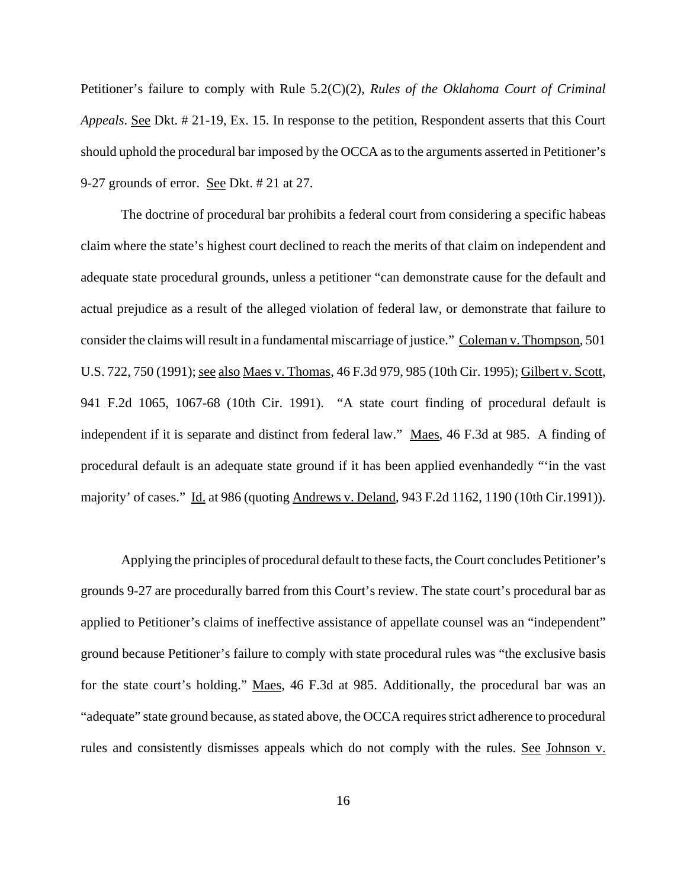Petitioner's failure to comply with Rule 5.2(C)(2), *Rules of the Oklahoma Court of Criminal Appeals*. See Dkt. # 21-19, Ex. 15. In response to the petition, Respondent asserts that this Court should uphold the procedural bar imposed by the OCCA as to the arguments asserted in Petitioner's 9-27 grounds of error. See Dkt. # 21 at 27.

The doctrine of procedural bar prohibits a federal court from considering a specific habeas claim where the state's highest court declined to reach the merits of that claim on independent and adequate state procedural grounds, unless a petitioner "can demonstrate cause for the default and actual prejudice as a result of the alleged violation of federal law, or demonstrate that failure to consider the claims will result in a fundamental miscarriage of justice." Coleman v. Thompson, 501 U.S. 722, 750 (1991); see also Maes v. Thomas, 46 F.3d 979, 985 (10th Cir. 1995); Gilbert v. Scott, 941 F.2d 1065, 1067-68 (10th Cir. 1991). "A state court finding of procedural default is independent if it is separate and distinct from federal law." Maes, 46 F.3d at 985. A finding of procedural default is an adequate state ground if it has been applied evenhandedly "'in the vast majority' of cases." Id. at 986 (quoting Andrews v. Deland, 943 F.2d 1162, 1190 (10th Cir.1991)).

Applying the principles of procedural default to these facts, the Court concludes Petitioner's grounds 9-27 are procedurally barred from this Court's review. The state court's procedural bar as applied to Petitioner's claims of ineffective assistance of appellate counsel was an "independent" ground because Petitioner's failure to comply with state procedural rules was "the exclusive basis for the state court's holding." Maes, 46 F.3d at 985. Additionally, the procedural bar was an "adequate" state ground because, as stated above, the OCCA requires strict adherence to procedural rules and consistently dismisses appeals which do not comply with the rules. See Johnson v.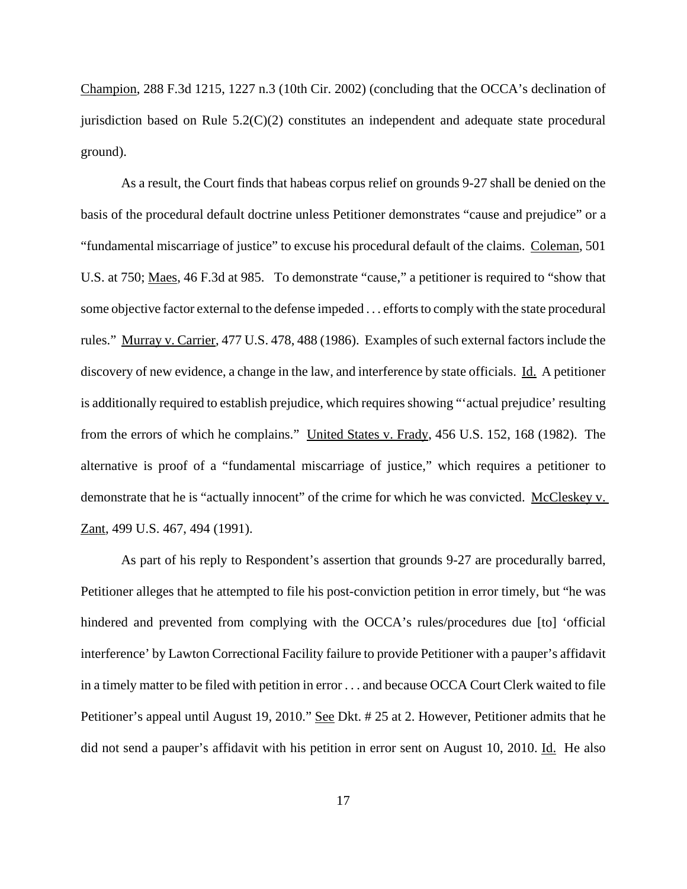Champion, 288 F.3d 1215, 1227 n.3 (10th Cir. 2002) (concluding that the OCCA's declination of jurisdiction based on Rule 5.2(C)(2) constitutes an independent and adequate state procedural ground).

As a result, the Court finds that habeas corpus relief on grounds 9-27 shall be denied on the basis of the procedural default doctrine unless Petitioner demonstrates "cause and prejudice" or a "fundamental miscarriage of justice" to excuse his procedural default of the claims. Coleman, 501 U.S. at 750; Maes, 46 F.3d at 985. To demonstrate "cause," a petitioner is required to "show that some objective factor external to the defense impeded . . . efforts to comply with the state procedural rules." Murray v. Carrier, 477 U.S. 478, 488 (1986). Examples of such external factors include the discovery of new evidence, a change in the law, and interference by state officials. Id. A petitioner is additionally required to establish prejudice, which requires showing "'actual prejudice' resulting from the errors of which he complains." United States v. Frady, 456 U.S. 152, 168 (1982). The alternative is proof of a "fundamental miscarriage of justice," which requires a petitioner to demonstrate that he is "actually innocent" of the crime for which he was convicted. McCleskey v. Zant, 499 U.S. 467, 494 (1991).

As part of his reply to Respondent's assertion that grounds 9-27 are procedurally barred, Petitioner alleges that he attempted to file his post-conviction petition in error timely, but "he was hindered and prevented from complying with the OCCA's rules/procedures due [to] 'official interference' by Lawton Correctional Facility failure to provide Petitioner with a pauper's affidavit in a timely matter to be filed with petition in error . . . and because OCCA Court Clerk waited to file Petitioner's appeal until August 19, 2010." See Dkt. # 25 at 2. However, Petitioner admits that he did not send a pauper's affidavit with his petition in error sent on August 10, 2010. Id. He also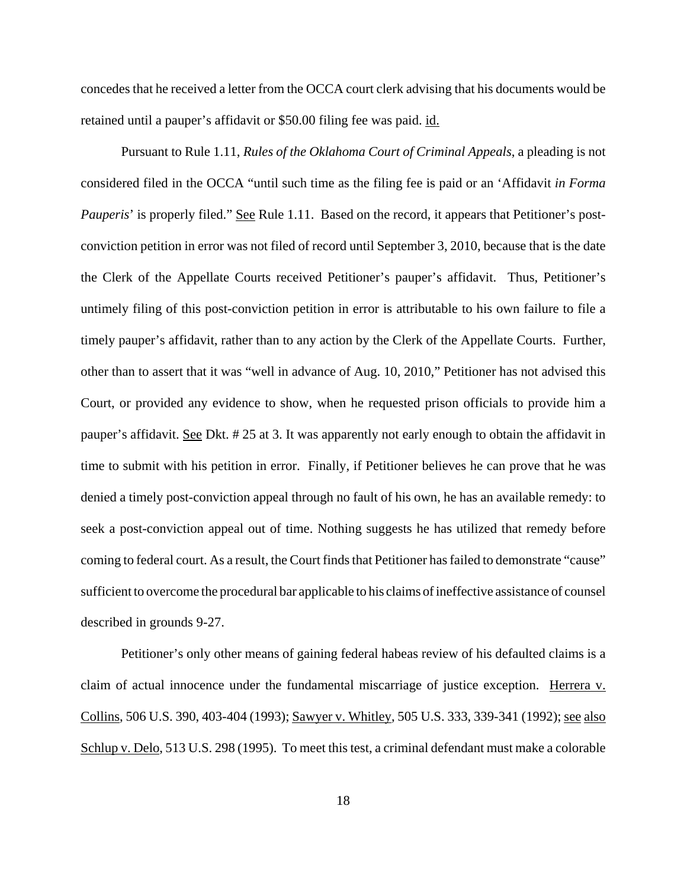concedes that he received a letter from the OCCA court clerk advising that his documents would be retained until a pauper's affidavit or \$50.00 filing fee was paid. id.

Pursuant to Rule 1.11, *Rules of the Oklahoma Court of Criminal Appeals*, a pleading is not considered filed in the OCCA "until such time as the filing fee is paid or an 'Affidavit *in Forma Pauperis*' is properly filed." See Rule 1.11. Based on the record, it appears that Petitioner's postconviction petition in error was not filed of record until September 3, 2010, because that is the date the Clerk of the Appellate Courts received Petitioner's pauper's affidavit. Thus, Petitioner's untimely filing of this post-conviction petition in error is attributable to his own failure to file a timely pauper's affidavit, rather than to any action by the Clerk of the Appellate Courts. Further, other than to assert that it was "well in advance of Aug. 10, 2010," Petitioner has not advised this Court, or provided any evidence to show, when he requested prison officials to provide him a pauper's affidavit. See Dkt. # 25 at 3. It was apparently not early enough to obtain the affidavit in time to submit with his petition in error. Finally, if Petitioner believes he can prove that he was denied a timely post-conviction appeal through no fault of his own, he has an available remedy: to seek a post-conviction appeal out of time. Nothing suggests he has utilized that remedy before coming to federal court. As a result, the Court finds that Petitioner has failed to demonstrate "cause" sufficient to overcome the procedural bar applicable to his claims of ineffective assistance of counsel described in grounds 9-27.

Petitioner's only other means of gaining federal habeas review of his defaulted claims is a claim of actual innocence under the fundamental miscarriage of justice exception. Herrera v. Collins, 506 U.S. 390, 403-404 (1993); Sawyer v. Whitley, 505 U.S. 333, 339-341 (1992); see also Schlup v. Delo, 513 U.S. 298 (1995). To meet this test, a criminal defendant must make a colorable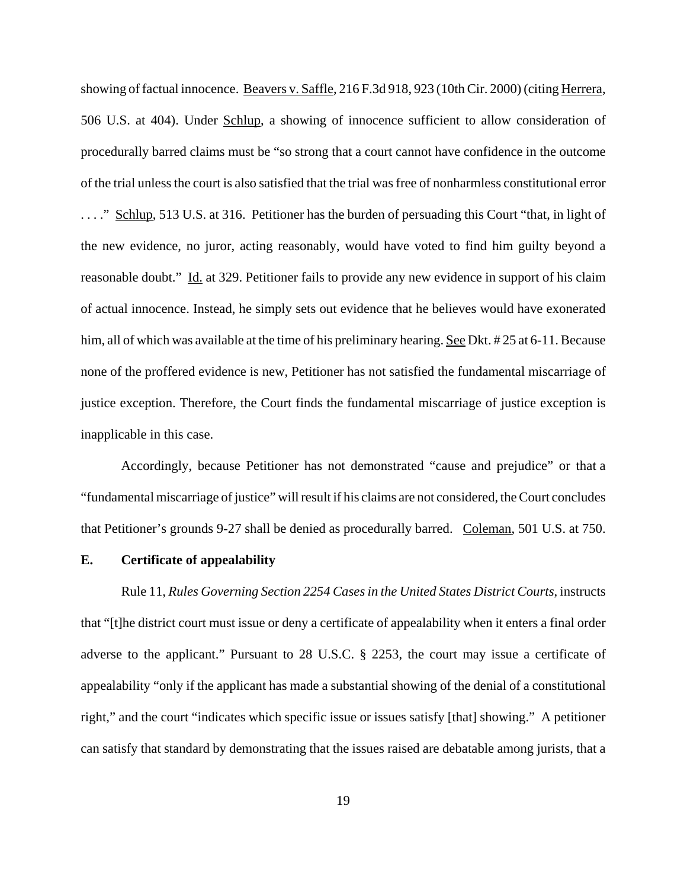showing of factual innocence. Beavers v. Saffle, 216 F.3d 918, 923 (10th Cir. 2000) (citing Herrera, 506 U.S. at 404). Under Schlup, a showing of innocence sufficient to allow consideration of procedurally barred claims must be "so strong that a court cannot have confidence in the outcome of the trial unless the court is also satisfied that the trial was free of nonharmless constitutional error ...." Schlup, 513 U.S. at 316. Petitioner has the burden of persuading this Court "that, in light of the new evidence, no juror, acting reasonably, would have voted to find him guilty beyond a reasonable doubt." Id. at 329. Petitioner fails to provide any new evidence in support of his claim of actual innocence. Instead, he simply sets out evidence that he believes would have exonerated him, all of which was available at the time of his preliminary hearing. See Dkt. # 25 at 6-11. Because none of the proffered evidence is new, Petitioner has not satisfied the fundamental miscarriage of justice exception. Therefore, the Court finds the fundamental miscarriage of justice exception is inapplicable in this case.

 Accordingly, because Petitioner has not demonstrated "cause and prejudice" or that a "fundamental miscarriage of justice" will result if his claims are not considered, the Court concludes that Petitioner's grounds 9-27 shall be denied as procedurally barred. Coleman, 501 U.S. at 750.

#### **E. Certificate of appealability**

Rule 11, *Rules Governing Section 2254 Cases in the United States District Courts*, instructs that "[t]he district court must issue or deny a certificate of appealability when it enters a final order adverse to the applicant." Pursuant to 28 U.S.C. § 2253, the court may issue a certificate of appealability "only if the applicant has made a substantial showing of the denial of a constitutional right," and the court "indicates which specific issue or issues satisfy [that] showing." A petitioner can satisfy that standard by demonstrating that the issues raised are debatable among jurists, that a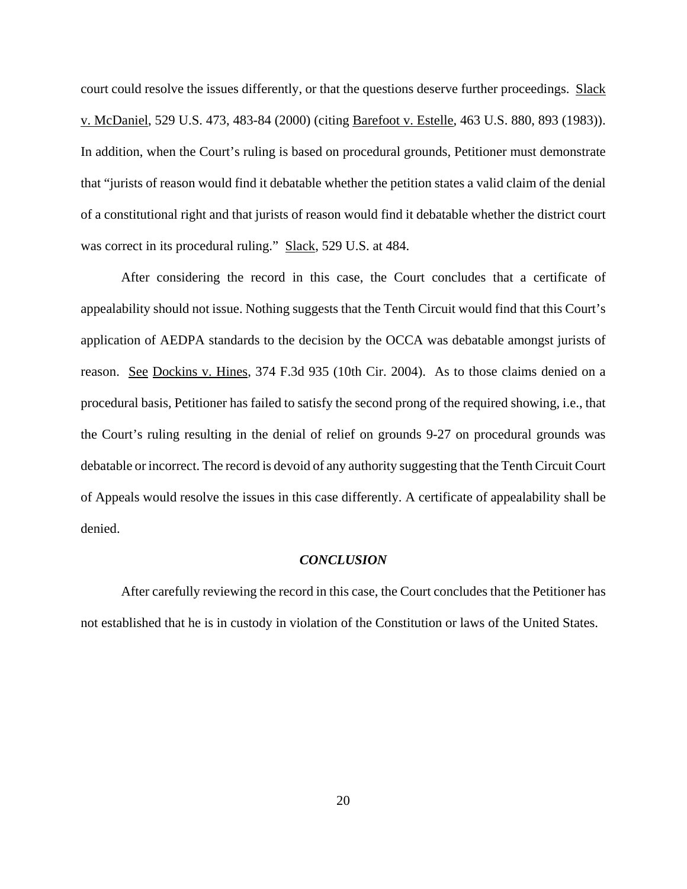court could resolve the issues differently, or that the questions deserve further proceedings. Slack v. McDaniel, 529 U.S. 473, 483-84 (2000) (citing Barefoot v. Estelle, 463 U.S. 880, 893 (1983)). In addition, when the Court's ruling is based on procedural grounds, Petitioner must demonstrate that "jurists of reason would find it debatable whether the petition states a valid claim of the denial of a constitutional right and that jurists of reason would find it debatable whether the district court was correct in its procedural ruling." Slack, 529 U.S. at 484.

After considering the record in this case, the Court concludes that a certificate of appealability should not issue. Nothing suggests that the Tenth Circuit would find that this Court's application of AEDPA standards to the decision by the OCCA was debatable amongst jurists of reason. See Dockins v. Hines, 374 F.3d 935 (10th Cir. 2004). As to those claims denied on a procedural basis, Petitioner has failed to satisfy the second prong of the required showing, i.e., that the Court's ruling resulting in the denial of relief on grounds 9-27 on procedural grounds was debatable or incorrect. The record is devoid of any authority suggesting that the Tenth Circuit Court of Appeals would resolve the issues in this case differently. A certificate of appealability shall be denied.

#### *CONCLUSION*

After carefully reviewing the record in this case, the Court concludes that the Petitioner has not established that he is in custody in violation of the Constitution or laws of the United States.